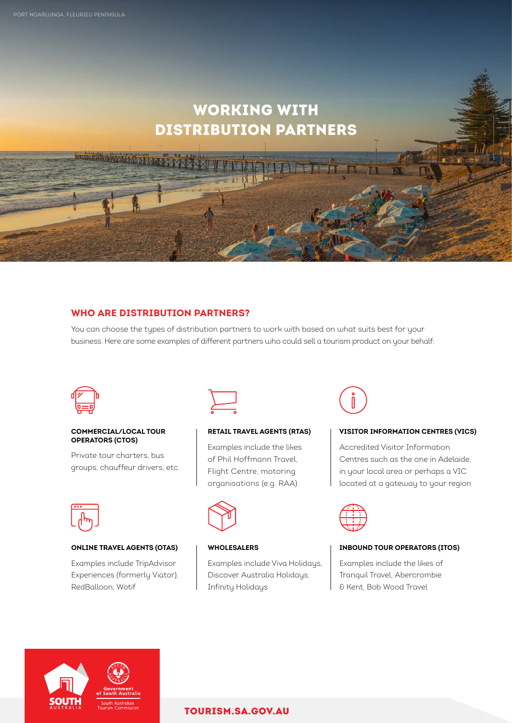man di visit di di

# WORKING WITH DISTRIBUTION PARTNERS

# **WHO ARE DISTRIBUTION PARTNERS?**

You can choose the types of distribution partners to work with based on what suits best for your business. Here are some examples of different partners who could sell a tourism product on your behalf:



#### **COMMERCIAL/LOCAL TOUR OPERATORS (CTOS)**

Private tour charters, bus groups, chauffeur drivers, etc.

**ONLINE TRAVEL AGENTS (OTAS)** Examples include TripAdvisor Experiences (formerly Viator),



#### **RETAIL TRAVEL AGENTS (RTAS)**

Examples include the likes of Phil Hoffmann Travel, Flight Centre, motoring organisations (e.g. RAA)



#### **WHOLESALERS**

Examples include Viva Holidays, Discover Australia Holidays, Infinity Holidays



#### **VISITOR INFORMATION CENTRES (VICS)**

Accredited Visitor Information Centres such as the one in Adelaide, in your local area or perhaps a VIC located at a gateway to your region



#### **INBOUND TOUR OPERATORS (ITOS)**

Examples include the likes of Tranquil Travel, Abercrombie & Kent, Bob Wood Travel



RedBalloon, Wotif

# [TOURISM.SA.GOV.AU](http://tourism.sa.gov.au)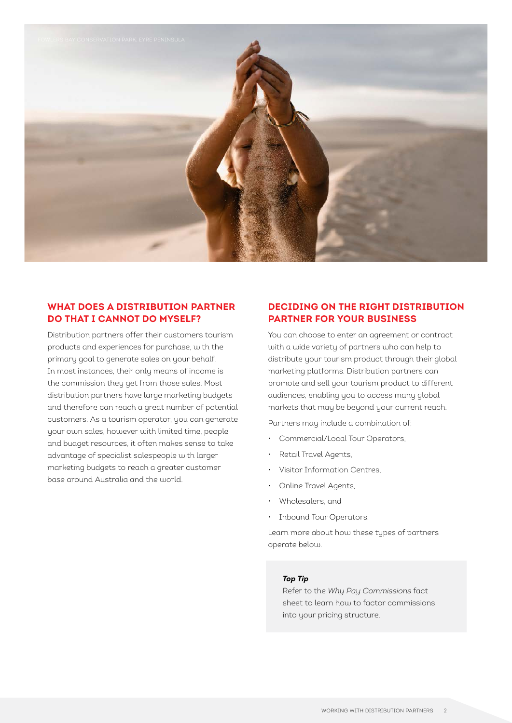

# **WHAT DOES A DISTRIBUTION PARTNER DO THAT I CANNOT DO MYSELF?**

Distribution partners offer their customers tourism products and experiences for purchase, with the primary goal to generate sales on your behalf. In most instances, their only means of income is the commission they get from those sales. Most distribution partners have large marketing budgets and therefore can reach a great number of potential customers. As a tourism operator, you can generate your own sales, however with limited time, people and budget resources, it often makes sense to take advantage of specialist salespeople with larger marketing budgets to reach a greater customer base around Australia and the world.

# **DECIDING ON THE RIGHT DISTRIBUTION PARTNER FOR YOUR BUSINESS**

You can choose to enter an agreement or contract with a wide variety of partners who can help to distribute your tourism product through their global marketing platforms. Distribution partners can promote and sell your tourism product to different audiences, enabling you to access many global markets that may be beyond your current reach.

Partners may include a combination of;

- Commercial/Local Tour Operators,
- Retail Travel Agents,
- Visitor Information Centres,
- Online Travel Agents,
- Wholesalers, and
- Inbound Tour Operators.

Learn more about how these types of partners operate below.

### *Top Tip*

Refer to the *Why Pay Commissions* fact sheet to learn how to factor commissions into your pricing structure.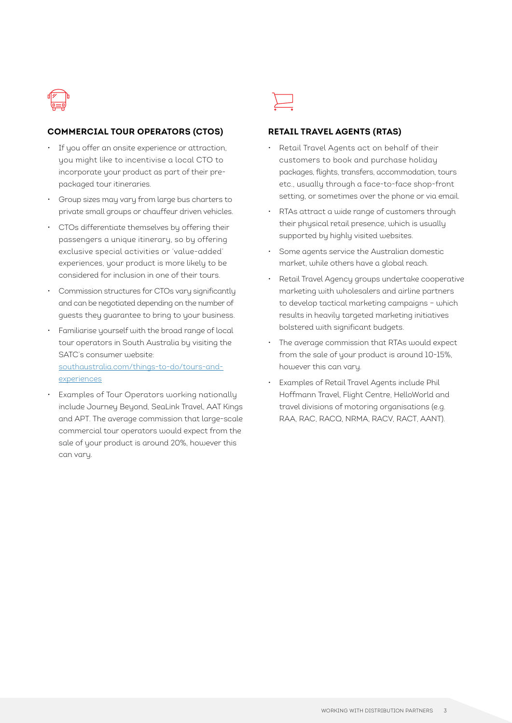

# **COMMERCIAL TOUR OPERATORS (CTOS)**

- If you offer an onsite experience or attraction, you might like to incentivise a local CTO to incorporate your product as part of their prepackaged tour itineraries.
- Group sizes may vary from large bus charters to private small groups or chauffeur driven vehicles.
- CTOs differentiate themselves by offering their passengers a unique itinerary, so by offering exclusive special activities or 'value-added' experiences, your product is more likely to be considered for inclusion in one of their tours.
- Commission structures for CTOs vary significantly and can be negotiated depending on the number of guests they guarantee to bring to your business.
- Familiarise yourself with the broad range of local tour operators in South Australia by visiting the SATC's consumer website: [southaustralia.com/things-to-do/tours-and](https://southaustralia.com/things-to-do/tours-and-experiences)[experiences](https://southaustralia.com/things-to-do/tours-and-experiences)
- Examples of Tour Operators working nationally include Journey Beyond, SeaLink Travel, AAT Kings and APT. The average commission that large-scale commercial tour operators would expect from the sale of your product is around 20%, however this can vary.



#### **RETAIL TRAVEL AGENTS (RTAS)**

- Retail Travel Agents act on behalf of their customers to book and purchase holiday packages, flights, transfers, accommodation, tours etc., usually through a face-to-face shop-front setting, or sometimes over the phone or via email.
- RTAs attract a wide range of customers through their physical retail presence, which is usually supported by highly visited websites.
- Some agents service the Australian domestic market, while others have a global reach.
- Retail Travel Agency groups undertake cooperative marketing with wholesalers and airline partners to develop tactical marketing campaigns – which results in heavily targeted marketing initiatives bolstered with significant budgets.
- The average commission that RTAs would expect from the sale of your product is around 10-15%, however this can vary.
- Examples of Retail Travel Agents include Phil Hoffmann Travel, Flight Centre, HelloWorld and travel divisions of motoring organisations (e.g. RAA, RAC, RACQ, NRMA, RACV, RACT, AANT).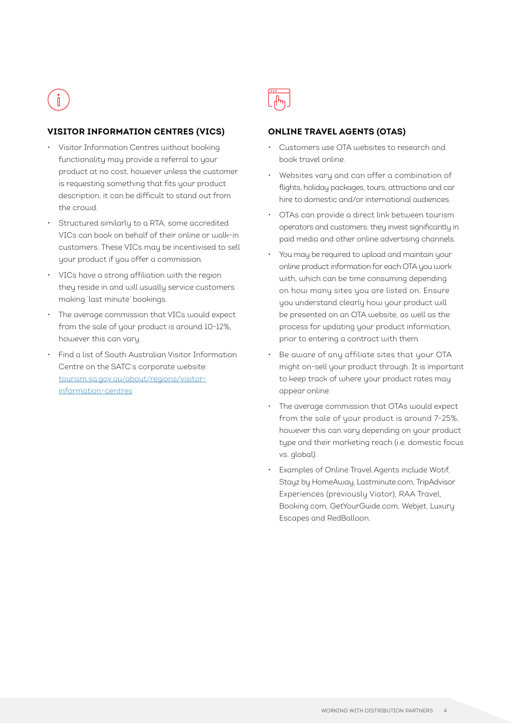# **VISITOR INFORMATION CENTRES (VICS)**

- Visitor Information Centres without booking functionality may provide a referral to your product at no cost, however unless the customer is requesting something that fits your product description, it can be difficult to stand out from the crowd.
- Structured similarly to a RTA, some accredited VICs can book on behalf of their online or walk-in customers. These VICs may be incentivised to sell your product if you offer a commission.
- VICs have a strong affiliation with the region they reside in and will usually service customers making 'last minute' bookings.
- The average commission that VICs would expect from the sale of your product is around 10-12%, however this can vary.
- Find a list of South Australian Visitor Information Centre on the SATC's corporate website: [tourism.sa.gov.au/about/regions/visitor](https://tourism.sa.gov.au/about/regions/visitor-information-centres)[information-centres](https://tourism.sa.gov.au/about/regions/visitor-information-centres)



# **ONLINE TRAVEL AGENTS (OTAS)**

- Customers use OTA websites to research and book travel online.
- Websites vary and can offer a combination of flights, holiday packages, tours, attractions and car hire to domestic and/or international audiences.
- OTAs can provide a direct link between tourism operators and customers; they invest significantly in paid media and other online advertising channels.
- You may be required to upload and maintain your online product information for each OTA you work with, which can be time consuming depending on how many sites you are listed on. Ensure you understand clearly how your product will be presented on an OTA website, as well as the process for updating your product information, prior to entering a contract with them.
- Be aware of any affiliate sites that your OTA might on-sell your product through. It is important to keep track of where your product rates may appear online.
- The average commission that OTAs would expect from the sale of your product is around 7-25%, however this can vary depending on your product type and their marketing reach (i.e. domestic focus vs. global).
- Examples of Online Travel Agents include Wotif, Stayz by HomeAway, Lastminute.com, TripAdvisor Experiences (previously Viator), RAA Travel, Booking.com, GetYourGuide.com, Webjet, Luxury Escapes and RedBalloon.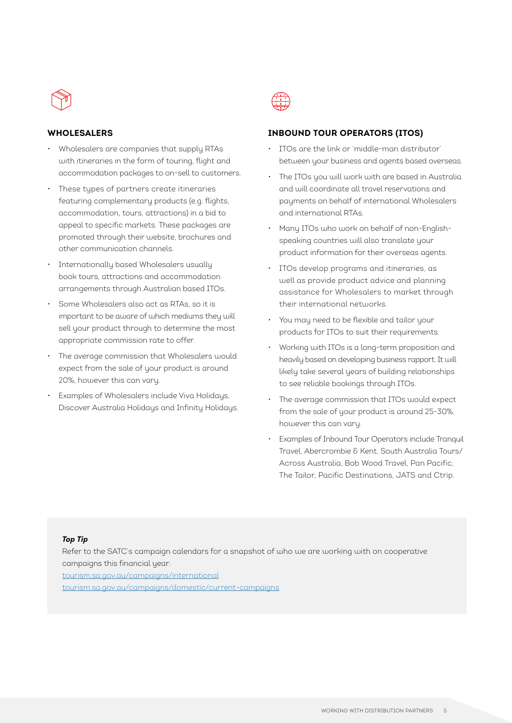

#### **WHOLESALERS**

- Wholesalers are companies that supply RTAs with itineraries in the form of touring, flight and accommodation packages to on-sell to customers.
- These types of partners create itineraries featuring complementary products (e.g. flights, accommodation, tours, attractions) in a bid to appeal to specific markets. These packages are promoted through their website, brochures and other communication channels.
- Internationally based Wholesalers usually book tours, attractions and accommodation arrangements through Australian based ITOs.
- Some Wholesalers also act as RTAs, so it is important to be aware of which mediums they will sell your product through to determine the most appropriate commission rate to offer.
- The average commission that Wholesalers would expect from the sale of your product is around 20%, however this can vary.
- Examples of Wholesalers include Viva Holidays, Discover Australia Holidays and Infinity Holidays.



# **INBOUND TOUR OPERATORS (ITOS)**

- ITOs are the link or 'middle-man distributor' between your business and agents based overseas.
- The ITOs you will work with are based in Australia and will coordinate all travel reservations and payments on behalf of international Wholesalers and international RTAs.
- Many ITOs who work on behalf of non-Englishspeaking countries will also translate your product information for their overseas agents.
- ITOs develop programs and itineraries, as well as provide product advice and planning assistance for Wholesalers to market through their international networks.
- You may need to be flexible and tailor your products for ITOs to suit their requirements.
- Working with ITOs is a long-term proposition and heavily based on developing business rapport. It will likely take several years of building relationships to see reliable bookings through ITOs.
- The average commission that ITOs would expect from the sale of your product is around 25-30%, however this can vary.
- Examples of Inbound Tour Operators include Tranquil Travel, Abercrombie & Kent, South Australia Tours/ Across Australia, Bob Wood Travel, Pan Pacific, The Tailor, Pacific Destinations, JATS and Ctrip.

#### *Top Tip*

Refer to the SATC's campaign calendars for a snapshot of who we are working with on cooperative campaigns this financial year:

[tourism.sa.gov.au/campaigns/international](https://tourism.sa.gov.au/campaigns/international) [tourism.sa.gov.au/campaigns/domestic/current-campaigns](https://tourism.sa.gov.au/campaigns/domestic/current-campaigns)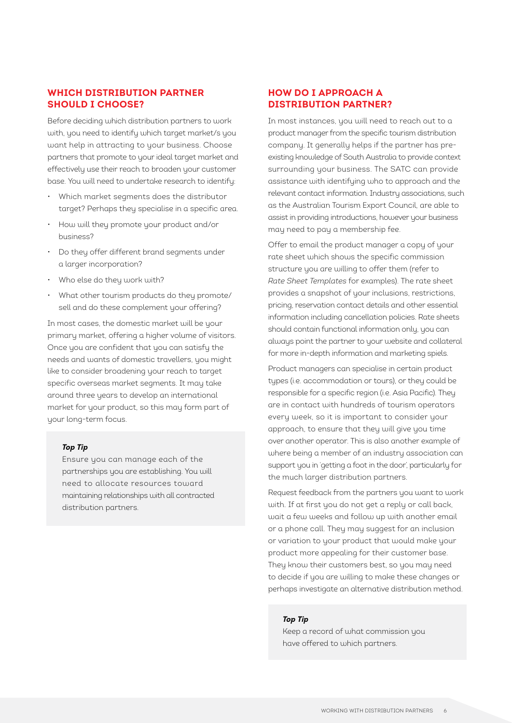# **WHICH DISTRIBUTION PARTNER SHOULD I CHOOSE?**

Before deciding which distribution partners to work with, you need to identify which target market/s you want help in attracting to your business. Choose partners that promote to your ideal target market and effectively use their reach to broaden your customer base. You will need to undertake research to identify:

- Which market segments does the distributor target? Perhaps they specialise in a specific area.
- How will they promote your product and/or business?
- Do they offer different brand segments under a larger incorporation?
- Who else do they work with?
- What other tourism products do they promote/ sell and do these complement your offering?

In most cases, the domestic market will be your primary market, offering a higher volume of visitors. Once you are confident that you can satisfy the needs and wants of domestic travellers, you might like to consider broadening your reach to target specific overseas market segments. It may take around three years to develop an international market for your product, so this may form part of your long-term focus.

#### *Top Tip*

Ensure you can manage each of the partnerships you are establishing. You will need to allocate resources toward maintaining relationships with all contracted distribution partners.

# **HOW DO I APPROACH A DISTRIBUTION PARTNER?**

In most instances, you will need to reach out to a product manager from the specific tourism distribution company. It generally helps if the partner has preexisting knowledge of South Australia to provide context surrounding your business. The SATC can provide assistance with identifying who to approach and the relevant contact information. Industry associations, such as the Australian Tourism Export Council, are able to assist in providing introductions, however your business may need to pay a membership fee.

Offer to email the product manager a copy of your rate sheet which shows the specific commission structure you are willing to offer them (refer to *Rate Sheet Templates* for examples). The rate sheet provides a snapshot of your inclusions, restrictions, pricing, reservation contact details and other essential information including cancellation policies. Rate sheets should contain functional information only, you can always point the partner to your website and collateral for more in-depth information and marketing spiels.

Product managers can specialise in certain product types (i.e. accommodation or tours), or they could be responsible for a specific region (i.e. Asia Pacific). They are in contact with hundreds of tourism operators every week, so it is important to consider your approach, to ensure that they will give you time over another operator. This is also another example of where being a member of an industry association can support you in 'getting a foot in the door', particularly for the much larger distribution partners.

Request feedback from the partners you want to work with. If at first you do not get a reply or call back, wait a few weeks and follow up with another email or a phone call. They may suggest for an inclusion or variation to your product that would make your product more appealing for their customer base. They know their customers best, so you may need to decide if you are willing to make these changes or perhaps investigate an alternative distribution method.

#### *Top Tip*

Keep a record of what commission you have offered to which partners.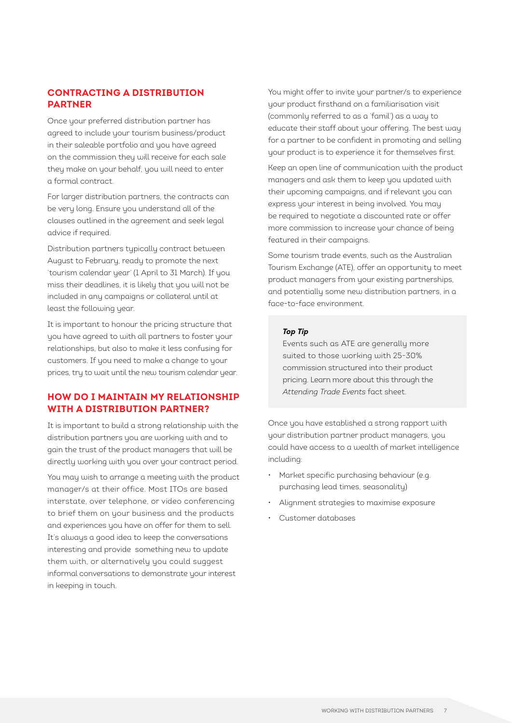# **CONTRACTING A DISTRIBUTION PARTNER**

Once your preferred distribution partner has agreed to include your tourism business/product in their saleable portfolio and you have agreed on the commission they will receive for each sale they make on your behalf, you will need to enter a formal contract.

For larger distribution partners, the contracts can be very long. Ensure you understand all of the clauses outlined in the agreement and seek legal advice if required.

Distribution partners typically contract between August to February, ready to promote the next 'tourism calendar year' (1 April to 31 March). If you miss their deadlines, it is likely that you will not be included in any campaigns or collateral until at least the following year.

It is important to honour the pricing structure that you have agreed to with all partners to foster your relationships, but also to make it less confusing for customers. If you need to make a change to your prices, try to wait until the new tourism calendar year.

# **HOW DO I MAINTAIN MY RELATIONSHIP WITH A DISTRIBUTION PARTNER?**

It is important to build a strong relationship with the distribution partners you are working with and to gain the trust of the product managers that will be directly working with you over your contract period.

You may wish to arrange a meeting with the product manager/s at their office. Most ITOs are based interstate, over telephone, or video conferencing to brief them on your business and the products and experiences you have on offer for them to sell. It's always a good idea to keep the conversations interesting and provide something new to update them with, or alternatively you could suggest informal conversations to demonstrate your interest in keeping in touch.

You might offer to invite your partner/s to experience your product firsthand on a familiarisation visit (commonly referred to as a 'famil') as a way to educate their staff about your offering. The best way for a partner to be confident in promoting and selling your product is to experience it for themselves first.

Keep an open line of communication with the product managers and ask them to keep you updated with their upcoming campaigns, and if relevant you can express your interest in being involved. You may be required to negotiate a discounted rate or offer more commission to increase your chance of being featured in their campaigns.

Some tourism trade events, such as the Australian Tourism Exchange (ATE), offer an opportunity to meet product managers from your existing partnerships, and potentially some new distribution partners, in a face-to-face environment.

#### *Top Tip*

Events such as ATE are generally more suited to those working with 25-30% commission structured into their product pricing. Learn more about this through the *Attending Trade Events* fact sheet.

Once you have established a strong rapport with your distribution partner product managers, you could have access to a wealth of market intelligence including:

- Market specific purchasing behaviour (e.g. purchasing lead times, seasonality)
- Alignment strategies to maximise exposure
- Customer databases